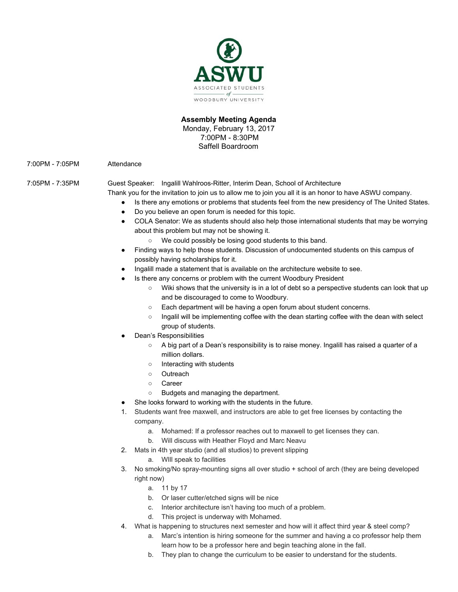

## **Assembly Meeting Agenda** Monday, February 13, 2017 7:00PM - 8:30PM Saffell Boardroom

7:00PM - 7:05PM Attendance

7:05PM - 7:35PM Guest Speaker: Ingalill Wahlroos-Ritter, Interim Dean, School of Architecture

- Thank you for the invitation to join us to allow me to join you all it is an honor to have ASWU company.
	- Is there any emotions or problems that students feel from the new presidency of The United States.
	- Do you believe an open forum is needed for this topic.
	- COLA Senator: We as students should also help those international students that may be worrying about this problem but may not be showing it.
		- We could possibly be losing good students to this band.
	- Finding ways to help those students. Discussion of undocumented students on this campus of possibly having scholarships for it.
	- Ingalill made a statement that is available on the architecture website to see.
	- Is there any concerns or problem with the current Woodbury President
		- Wiki shows that the university is in a lot of debt so a perspective students can look that up and be discouraged to come to Woodbury.
		- Each department will be having a open forum about student concerns.
		- o Ingalil will be implementing coffee with the dean starting coffee with the dean with select group of students.
	- Dean's Responsibilities
		- A big part of a Dean's responsibility is to raise money. Ingalill has raised a quarter of a million dollars.
		- Interacting with students
		- Outreach
		- Career
		- Budgets and managing the department.
	- She looks forward to working with the students in the future.
	- 1. Students want free maxwell, and instructors are able to get free licenses by contacting the company.
		- a. Mohamed: If a professor reaches out to maxwell to get licenses they can.
		- b. Will discuss with Heather Floyd and Marc Neavu
	- 2. Mats in 4th year studio (and all studios) to prevent slipping
		- a. WIll speak to facilities
	- 3. No smoking/No spray-mounting signs all over studio + school of arch (they are being developed right now)
		- a. 11 by 17
		- b. Or laser cutter/etched signs will be nice
		- c. Interior architecture isn't having too much of a problem.
		- d. This project is underway with Mohamed.
	- 4. What is happening to structures next semester and how will it affect third year & steel comp?
		- a. Marc's intention is hiring someone for the summer and having a co professor help them learn how to be a professor here and begin teaching alone in the fall.
		- b. They plan to change the curriculum to be easier to understand for the students.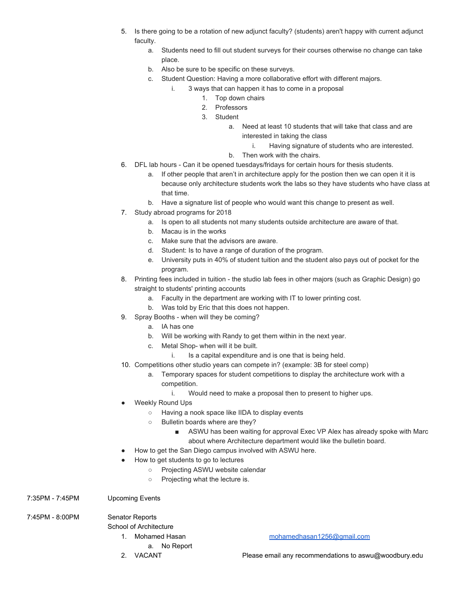- 5. Is there going to be a rotation of new adjunct faculty? (students) aren't happy with current adjunct faculty.
	- a. Students need to fill out student surveys for their courses otherwise no change can take place.
	- b. Also be sure to be specific on these surveys.
	- c. Student Question: Having a more collaborative effort with different majors.
		- i. 3 ways that can happen it has to come in a proposal
			- 1. Top down chairs
			- 2. Professors
			- 3. Student
				- a. Need at least 10 students that will take that class and are interested in taking the class
					- i. Having signature of students who are interested.
				- b. Then work with the chairs.
- 6. DFL lab hours Can it be opened tuesdays/fridays for certain hours for thesis students.
	- a. If other people that aren't in architecture apply for the postion then we can open it it is because only architecture students work the labs so they have students who have class at that time.
	- b. Have a signature list of people who would want this change to present as well.
- 7. Study abroad programs for 2018
	- a. Is open to all students not many students outside architecture are aware of that.
	- b. Macau is in the works
	- c. Make sure that the advisors are aware.
	- d. Student: Is to have a range of duration of the program.
	- e. University puts in 40% of student tuition and the student also pays out of pocket for the program.
- 8. Printing fees included in tuition the studio lab fees in other majors (such as Graphic Design) go straight to students' printing accounts
	- a. Faculty in the department are working with IT to lower printing cost.
	- b. Was told by Eric that this does not happen.
- 9. Spray Booths when will they be coming?
	- a. IA has one
	- b. Will be working with Randy to get them within in the next year.
	- c. Metal Shop- when will it be built.
		- i. Is a capital expenditure and is one that is being held.
- 10. Competitions other studio years can compete in? (example: 3B for steel comp)
	- a. Temporary spaces for student competitions to display the architecture work with a competition.
		- i. Would need to make a proposal then to present to higher ups.
- **Weekly Round Ups** 
	- Having a nook space like IIDA to display events
	- Bulletin boards where are they?
		- ASWU has been waiting for approval Exec VP Alex has already spoke with Marc about where Architecture department would like the bulletin board.
- How to get the San Diego campus involved with ASWU here.
- How to get students to go to lectures
	- Projecting ASWU website calendar
	- Projecting what the lecture is.
- 7:35PM 7:45PM Upcoming Events

7:45PM - 8:00PM Senator Reports

School of Architecture

- a. No Report
- 

1. Mohamed Hasan [mohamedhasan1256@gmail.com](mailto:mohamedhasan1256@gmail.com)

2. VACANT Please email any recommendations to aswu@woodbury.edu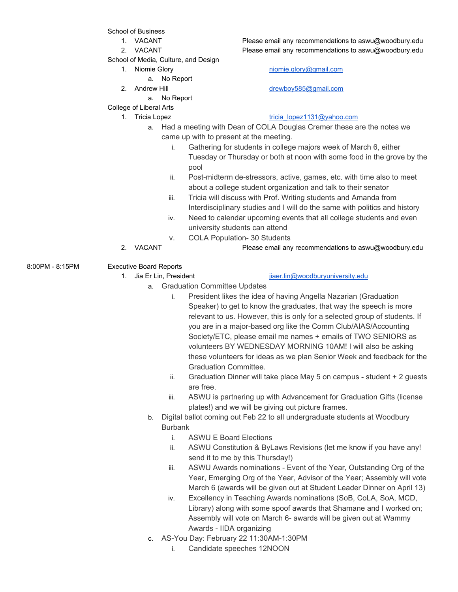School of Business

- 
- 
- School of Media, Culture, and Design
	- - a. No Report
	-
	- a. No Report
- College of Liberal Arts
	-

1. VACANT Please email any recommendations to aswu@woodbury.edu 2. VACANT Please email any recommendations to aswu@woodbury.edu

1. Niomie Glory [niomie.glory@gmail.com](mailto:niomie.glory@gmail.com)

2. Andrew Hill [drewboy585@gmail.com](mailto:drewboy585@gmail.com)

## 1. Tricia Lopez tricia lopez1131@yahoo.com

- a. Had a meeting with Dean of COLA Douglas Cremer these are the notes we came up with to present at the meeting.
	- i. Gathering for students in college majors week of March 6, either Tuesday or Thursday or both at noon with some food in the grove by the pool
	- ii. Post-midterm de-stressors, active, games, etc. with time also to meet about a college student organization and talk to their senator
	- iii. Tricia will discuss with Prof. Writing students and Amanda from Interdisciplinary studies and I will do the same with politics and history
	- iv. Need to calendar upcoming events that all college students and even university students can attend
	- v. COLA Population- 30 Students
- 2. VACANT Please email any recommendations to aswu@woodbury.edu
- 8:00PM 8:15PM Executive Board Reports
	-

1. Jia Er Lin, President in the state is a state in the intervention of the state in the state in the state in the state in the state is a state of the state in the state in the state in the state is a state in the state i

- a. Graduation Committee Updates
	- i. President likes the idea of having Angella Nazarian (Graduation Speaker) to get to know the graduates, that way the speech is more relevant to us. However, this is only for a selected group of students. If you are in a major-based org like the Comm Club/AIAS/Accounting Society/ETC, please email me names + emails of TWO SENIORS as volunteers BY WEDNESDAY MORNING 10AM! I will also be asking these volunteers for ideas as we plan Senior Week and feedback for the Graduation Committee.
	- ii. Graduation Dinner will take place May 5 on campus student + 2 guests are free.
	- iii. ASWU is partnering up with Advancement for Graduation Gifts (license plates!) and we will be giving out picture frames.
- b. Digital ballot coming out Feb 22 to all undergraduate students at Woodbury Burbank
	- i. ASWU E Board Elections
	- ii. ASWU Constitution & ByLaws Revisions (let me know if you have any! send it to me by this Thursday!)
	- iii. ASWU Awards nominations Event of the Year, Outstanding Org of the Year, Emerging Org of the Year, Advisor of the Year; Assembly will vote March 6 (awards will be given out at Student Leader Dinner on April 13)
	- iv. Excellency in Teaching Awards nominations (SoB, CoLA, SoA, MCD, Library) along with some spoof awards that Shamane and I worked on; Assembly will vote on March 6- awards will be given out at Wammy Awards - IIDA organizing
- c. AS-You Day: February 22 11:30AM-1:30PM
	- i. Candidate speeches 12NOON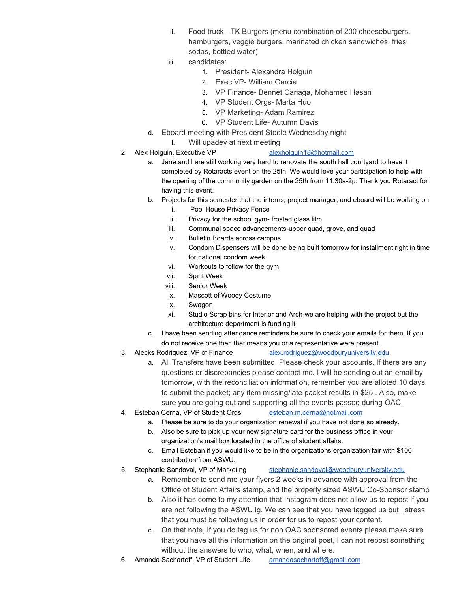- ii. Food truck TK Burgers (menu combination of 200 cheeseburgers, hamburgers, veggie burgers, marinated chicken sandwiches, fries, sodas, bottled water)
- iii. candidates:
	- 1. President- Alexandra Holguin
	- 2. Exec VP- William Garcia
	- 3. VP Finance- Bennet Cariaga, Mohamed Hasan
	- 4. VP Student Orgs- Marta Huo
	- 5. VP Marketing- Adam Ramirez
	- 6. VP Student Life- Autumn Davis
- d. Eboard meeting with President Steele Wednesday night
	- i. Will upadey at next meeting
- 

## 2. Alex Holguin, Executive VP [alexholguin18@hotmail.com](mailto:alexholguin18@hotmail.com)

- a. Jane and I are still working very hard to renovate the south hall courtyard to have it completed by Rotaracts event on the 25th. We would love your participation to help with the opening of the community garden on the 25th from 11:30a-2p. Thank you Rotaract for having this event.
- b. Projects for this semester that the interns, project manager, and eboard will be working on
	- i. Pool House Privacy Fence
	- ii. Privacy for the school gym- frosted glass film
	- iii. Communal space advancements-upper quad, grove, and quad
	- iv. Bulletin Boards across campus
	- v. Condom Dispensers will be done being built tomorrow for installment right in time for national condom week.
	- vi. Workouts to follow for the gym
	- vii. Spirit Week
	- viii. Senior Week
	- ix. Mascott of Woody Costume
	- x. Swagon
	- xi. Studio Scrap bins for Interior and Arch-we are helping with the project but the architecture department is funding it
- c. I have been sending attendance reminders be sure to check your emails for them. If you do not receive one then that means you or a representative were present.
- 3. Alecks Rodriguez, VP of Finance **[alex.rodriguez@woodburyuniversity.edu](mailto:alex.rodriguez@woodburyuniversity.edu)** 
	- a. All Transfers have been submitted, Please check your accounts. If there are any questions or discrepancies please contact me. I will be sending out an email by tomorrow, with the reconciliation information, remember you are alloted 10 days to submit the packet; any item missing/late packet results in \$25 . Also, make sure you are going out and supporting all the events passed during OAC.
- 4. Esteban Cerna, VP of Student Orgs [esteban.m.cerna@hotmail.com](mailto:esteban.m.cerna@hotmail.com)
	- a. Please be sure to do your organization renewal if you have not done so already.
	- b. Also be sure to pick up your new signature card for the business office in your organization's mail box located in the office of student affairs.
	- c. Email Esteban if you would like to be in the organizations organization fair with \$100 contribution from ASWU.
- 5. Stephanie Sandoval, VP of Marketing [stephanie.sandoval@woodburyuniversity.edu](mailto:stephanie.sandoval@woodburyuniversity.edu)
	- a. Remember to send me your flyers 2 weeks in advance with approval from the Office of Student Affairs stamp, and the properly sized ASWU Co-Sponsor stamp
	- b. Also it has come to my attention that Instagram does not allow us to repost if you are not following the ASWU ig, We can see that you have tagged us but I stress that you must be following us in order for us to repost your content.
	- c. On that note, If you do tag us for non OAC sponsored events please make sure that you have all the information on the original post, I can not repost something without the answers to who, what, when, and where.
- 6. Amanda Sachartoff, VP of Student Life [amandasachartoff@gmail.com](mailto:amandasachartoff@gmail.com)